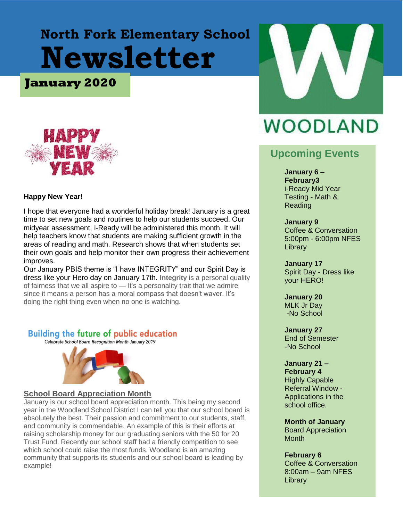# **North Fork Elementary School Newsletter**

**January 2020**



#### **Happy New Year!**

I hope that everyone had a wonderful holiday break! January is a great time to set new goals and routines to help our students succeed. Our midyear assessment, i-Ready will be administered this month. It will help teachers know that students are making sufficient growth in the areas of reading and math. Research shows that when students set their own goals and help monitor their own progress their achievement improves.

Our January PBIS theme is "I have INTEGRITY" and our Spirit Day is dress like your Hero day on January 17th. **Integrity** is a personal quality of fairness that we all aspire to — It's a personality trait that we admire since it means a person has a moral compass that doesn't waver. It's doing the right thing even when no one is watching.

#### **Building the future of public education**

Celebrate School Board Recognition Month January 2019



#### **School Board Appreciation Month**

January is our school board appreciation month. This being my second year in the Woodland School District I can tell you that our school board is absolutely the best. Their passion and commitment to our students, staff, and community is commendable. An example of this is their efforts at raising scholarship money for our graduating seniors with the 50 for 20 Trust Fund. Recently our school staff had a friendly competition to see which school could raise the most funds. Woodland is an amazing community that supports its students and our school board is leading by example!



# **WOODLAND**

## **Upcoming Events**

#### **January 6 –**

**February3**  i-Ready Mid Year Testing - Math & Reading

#### **January 9**

Coffee & Conversation 5:00pm - 6:00pm NFES **Library** 

**January 17** Spirit Day - Dress like your HERO!

## **January 20**

MLK Jr Day -No School

#### **January 27**

End of Semester -No School

#### **January 21 –**

**February 4**  Highly Capable Referral Window - Applications in the school office.

#### **Month of January**

Board Appreciation **Month** 

#### **February 6**

Coffee & Conversation 8:00am – 9am NFES **Library**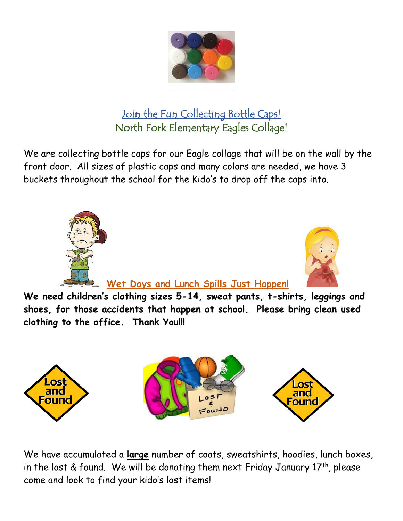

# Join the Fun Collecting Bottle Caps! North Fork Elementary Eagles Collage!

We are collecting bottle caps for our Eagle collage that will be on the wall by the front door. All sizes of plastic caps and many colors are needed, we have 3 buckets throughout the school for the Kido's to drop off the caps into.





# **Wet Days and Lunch Spills Just Happen!**

**We need children's clothing sizes 5-14, sweat pants, t-shirts, leggings and shoes, for those accidents that happen at school. Please bring clean used clothing to the office. Thank You!!!**



We have accumulated a **large** number of coats, sweatshirts, hoodies, lunch boxes, in the lost & found. We will be donating them next Friday January  $17<sup>th</sup>$ , please come and look to find your kido's lost items!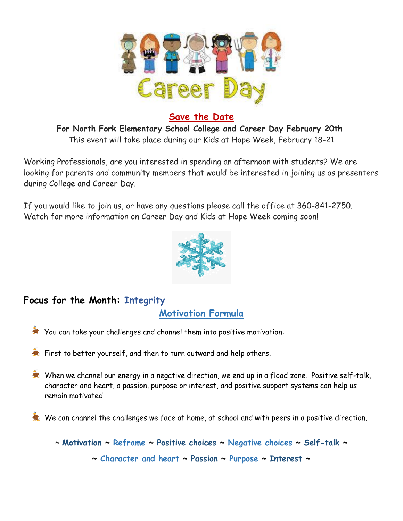

### **Save the Date**

**For North Fork Elementary School College and Career Day February 20th** This event will take place during our Kids at Hope Week, February 18-21

Working Professionals, are you interested in spending an afternoon with students? We are looking for parents and community members that would be interested in joining us as presenters during College and Career Day.

If you would like to join us, or have any questions please call the office at 360-841-2750. Watch for more information on Career Day and Kids at Hope Week coming soon!



## **Focus for the Month: Integrity**

**Motivation Formula**

- You can take your challenges and channel them into positive motivation:
- First to better yourself, and then to turn outward and help others.
- When we channel our energy in a negative direction, we end up in a flood zone. Positive self-talk, character and heart, a passion, purpose or interest, and positive support systems can help us remain motivated.
- We can channel the challenges we face at home, at school and with peers in a positive direction.

~ **Motivation ~ Reframe ~ Positive choices ~ Negative choices ~ Self-talk ~ ~ Character and heart ~ Passion ~ Purpose ~ Interest ~**